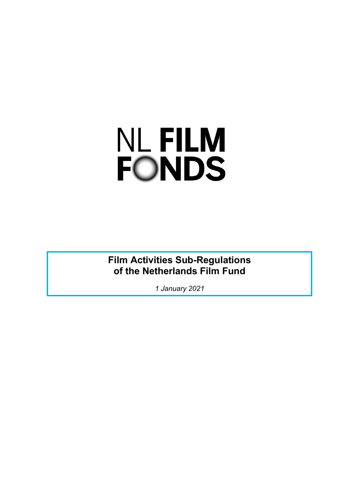# NL FILM<br>FONDS

**Film Activities Sub-Regulations of the Netherlands Film Fund**

*1 January 2021*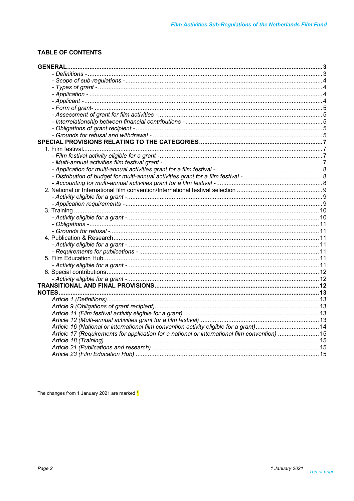# **TABLE OF CONTENTS**

| <b>GENERAL</b>                                                                                |  |
|-----------------------------------------------------------------------------------------------|--|
|                                                                                               |  |
|                                                                                               |  |
|                                                                                               |  |
|                                                                                               |  |
|                                                                                               |  |
|                                                                                               |  |
|                                                                                               |  |
|                                                                                               |  |
|                                                                                               |  |
|                                                                                               |  |
|                                                                                               |  |
|                                                                                               |  |
|                                                                                               |  |
|                                                                                               |  |
|                                                                                               |  |
|                                                                                               |  |
|                                                                                               |  |
|                                                                                               |  |
|                                                                                               |  |
|                                                                                               |  |
|                                                                                               |  |
|                                                                                               |  |
|                                                                                               |  |
|                                                                                               |  |
|                                                                                               |  |
|                                                                                               |  |
|                                                                                               |  |
|                                                                                               |  |
|                                                                                               |  |
|                                                                                               |  |
|                                                                                               |  |
|                                                                                               |  |
|                                                                                               |  |
|                                                                                               |  |
|                                                                                               |  |
|                                                                                               |  |
|                                                                                               |  |
| Article 16 (National or international film convention activity eligible for a grant) 14       |  |
| Article 17 (Requirements for application for a national or international film convention)  15 |  |
|                                                                                               |  |
|                                                                                               |  |
|                                                                                               |  |

The changes from 1 January 2021 are marked \*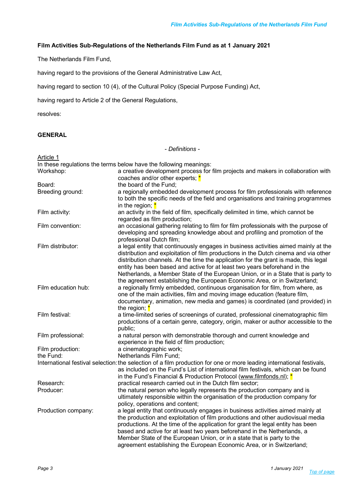#### **Film Activities Sub-Regulations of the Netherlands Film Fund as at 1 January 2021**

The Netherlands Film Fund,

having regard to the provisions of the General Administrative Law Act,

having regard to section 10 (4), of the Cultural Policy (Special Purpose Funding) Act,

having regard to Article 2 of the General Regulations,

resolves:

# **GENERAL**

*- Definitions -*

| Article 1                                                                                                                                                                                                                                                                          |                                                                                                                                                                                                                                                                                                                                                                                                                                                                                                                   |  |  |
|------------------------------------------------------------------------------------------------------------------------------------------------------------------------------------------------------------------------------------------------------------------------------------|-------------------------------------------------------------------------------------------------------------------------------------------------------------------------------------------------------------------------------------------------------------------------------------------------------------------------------------------------------------------------------------------------------------------------------------------------------------------------------------------------------------------|--|--|
|                                                                                                                                                                                                                                                                                    | In these regulations the terms below have the following meanings:                                                                                                                                                                                                                                                                                                                                                                                                                                                 |  |  |
| Workshop:                                                                                                                                                                                                                                                                          | a creative development process for film projects and makers in collaboration with                                                                                                                                                                                                                                                                                                                                                                                                                                 |  |  |
|                                                                                                                                                                                                                                                                                    | coaches and/or other experts; $*$                                                                                                                                                                                                                                                                                                                                                                                                                                                                                 |  |  |
| Board:                                                                                                                                                                                                                                                                             | the board of the Fund;                                                                                                                                                                                                                                                                                                                                                                                                                                                                                            |  |  |
| Breeding ground:                                                                                                                                                                                                                                                                   | a regionally embedded development process for film professionals with reference<br>to both the specific needs of the field and organisations and training programmes<br>in the region; $*$                                                                                                                                                                                                                                                                                                                        |  |  |
| Film activity:                                                                                                                                                                                                                                                                     | an activity in the field of film, specifically delimited in time, which cannot be<br>regarded as film production;                                                                                                                                                                                                                                                                                                                                                                                                 |  |  |
| Film convention:                                                                                                                                                                                                                                                                   | an occasional gathering relating to film for film professionals with the purpose of<br>developing and spreading knowledge about and profiling and promotion of the<br>professional Dutch film;                                                                                                                                                                                                                                                                                                                    |  |  |
| Film distributor:                                                                                                                                                                                                                                                                  | a legal entity that continuously engages in business activities aimed mainly at the<br>distribution and exploitation of film productions in the Dutch cinema and via other<br>distribution channels. At the time the application for the grant is made, this legal<br>entity has been based and active for at least two years beforehand in the<br>Netherlands, a Member State of the European Union, or in a State that is party to<br>the agreement establishing the European Economic Area, or in Switzerland; |  |  |
| Film education hub:                                                                                                                                                                                                                                                                | a regionally firmly embedded, continuous organisation for film, from where, as<br>one of the main activities, film and moving image education (feature film,<br>documentary, animation, new media and games) is coordinated (and provided) in<br>the region; $*$                                                                                                                                                                                                                                                  |  |  |
| Film festival:                                                                                                                                                                                                                                                                     | a time-limited series of screenings of curated, professional cinematographic film<br>productions of a certain genre, category, origin, maker or author accessible to the<br>public;                                                                                                                                                                                                                                                                                                                               |  |  |
| Film professional:                                                                                                                                                                                                                                                                 | a natural person with demonstrable thorough and current knowledge and<br>experience in the field of film production;                                                                                                                                                                                                                                                                                                                                                                                              |  |  |
| Film production:                                                                                                                                                                                                                                                                   | a cinematographic work;                                                                                                                                                                                                                                                                                                                                                                                                                                                                                           |  |  |
| the Fund:                                                                                                                                                                                                                                                                          | Netherlands Film Fund;                                                                                                                                                                                                                                                                                                                                                                                                                                                                                            |  |  |
| International festival selection: the selection of a film production for one or more leading international festivals,<br>as included on the Fund's List of international film festivals, which can be found<br>in the Fund's Financial & Production Protocol (www.filmfonds.nl); * |                                                                                                                                                                                                                                                                                                                                                                                                                                                                                                                   |  |  |
| Research:                                                                                                                                                                                                                                                                          | practical research carried out in the Dutch film sector;                                                                                                                                                                                                                                                                                                                                                                                                                                                          |  |  |
| Producer:                                                                                                                                                                                                                                                                          | the natural person who legally represents the production company and is<br>ultimately responsible within the organisation of the production company for<br>policy, operations and content;                                                                                                                                                                                                                                                                                                                        |  |  |
| Production company:                                                                                                                                                                                                                                                                | a legal entity that continuously engages in business activities aimed mainly at<br>the production and exploitation of film productions and other audiovisual media<br>productions. At the time of the application for grant the legal entity has been<br>based and active for at least two years beforehand in the Netherlands, a<br>Member State of the European Union, or in a state that is party to the<br>agreement establishing the European Economic Area, or in Switzerland;                              |  |  |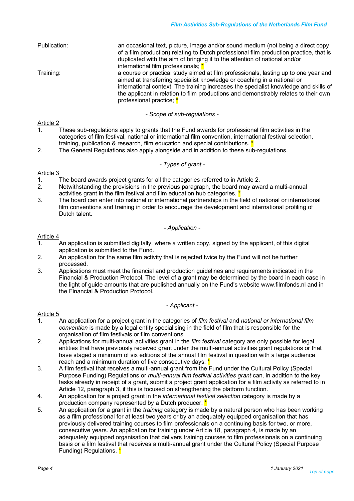| Publication: | an occasional text, picture, image and/or sound medium (not being a direct copy<br>of a film production) relating to Dutch professional film production practice, that is                               |
|--------------|---------------------------------------------------------------------------------------------------------------------------------------------------------------------------------------------------------|
|              | duplicated with the aim of bringing it to the attention of national and/or                                                                                                                              |
|              | international film professionals; *                                                                                                                                                                     |
| Training:    | a course or practical study aimed at film professionals, lasting up to one year and<br>aimed at transferring specialist knowledge or coaching in a national or                                          |
|              | international context. The training increases the specialist knowledge and skills of<br>the applicant in relation to film productions and demonstrably relates to their own<br>professional practice; * |
|              |                                                                                                                                                                                                         |

*- Scope of sub-regulations -*

#### Article 2

- 1. These sub-regulations apply to grants that the Fund awards for professional film activities in the categories of film festival, national or international film convention, international festival selection, training, publication & research, film education and special contributions. <sup>\*</sup>
- 2. The General Regulations also apply alongside and in addition to these sub-regulations.

#### *- Types of grant -*

# Article 3<br>1.

- 1. The board awards project grants for all the categories referred to in Article 2.
- 2. Notwithstanding the provisions in the previous paragraph, the board may award a multi-annual activities grant in the film festival and film education hub categories.  $*$
- 3. The board can enter into national or international partnerships in the field of national or international film conventions and training in order to encourage the development and international profiling of Dutch talent.

#### *- Application -*

#### Article 4

- 1. An application is submitted digitally, where a written copy, signed by the applicant, of this digital application is submitted to the Fund.
- 2. An application for the same film activity that is rejected twice by the Fund will not be further processed.
- 3. Applications must meet the financial and production guidelines and requirements indicated in the Financial & Production Protocol. The level of a grant may be determined by the board in each case in the light of guide amounts that are published annually on the Fund's website www.filmfonds.nl and in the Financial & Production Protocol.

#### *- Applicant -*

- 1. An application for a project grant in the categories of *film festival* and *national or international film convention* is made by a legal entity specialising in the field of film that is responsible for the organisation of film festivals or film conventions.
- 2. Applications for multi-annual activities grant in the *film festival* category are only possible for legal entities that have previously received grant under the multi-annual activities grant regulations or that have staged a minimum of six editions of the annual film festival in question with a large audience reach and a minimum duration of five consecutive days.
- 3. A film festival that receives a multi-annual grant from the Fund under the Cultural Policy (Special Purpose Funding) Regulations or *multi-annual film festival activities grant* can, in addition to the key tasks already in receipt of a grant, submit a project grant application for a film activity as referred to in Article 12, paragraph 3, if this is focused on strengthening the platform function.
- 4. An application for a project grant in the *international festival selection* category is made by a production company represented by a Dutch producer.  $*$
- 5. An application for a grant in the *training* category is made by a natural person who has been working as a film professional for at least two years or by an adequately equipped organisation that has previously delivered training courses to film professionals on a continuing basis for two, or more, consecutive years. An application for training under Article 18, paragraph 4, is made by an adequately equipped organisation that delivers training courses to film professionals on a continuing basis or a film festival that receives a multi-annual grant under the Cultural Policy (Special Purpose Funding) Regulations. \*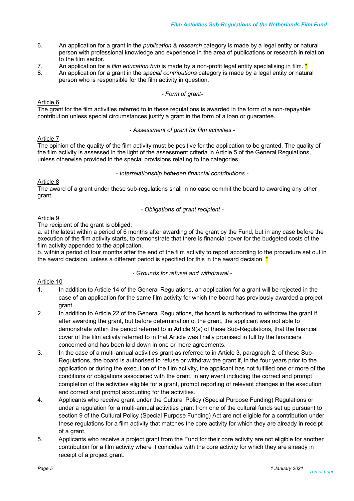- 6. An application for a grant in the *publication & research* category is made by a legal entity or natural person with professional knowledge and experience in the area of publications or research in relation to the film sector.
- 7. An application for a *film education hub* is made by a non-profit legal entity specialising in film. \*
- 8. An application for a grant in the *special contributions* category is made by a legal entity or natural person who is responsible for the film activity in question.

#### *- Form of grant-*

#### Article 6

The grant for the film activities referred to in these regulations is awarded in the form of a non-repayable contribution unless special circumstances justify a grant in the form of a loan or guarantee.

*- Assessment of grant for film activities -*

#### Article 7

The opinion of the quality of the film activity must be positive for the application to be granted. The quality of the film activity is assessed in the light of the assessment criteria in Article 5 of the General Regulations, unless otherwise provided in the special provisions relating to the categories.

#### *- Interrelationship between financial contributions -*

#### Article 8

The award of a grant under these sub-regulations shall in no case commit the board to awarding any other grant.

*- Obligations of grant recipient -*

# Article 9

The recipient of the grant is obliged:

a. at the latest within a period of 6 months after awarding of the grant by the Fund, but in any case before the execution of the film activity starts, to demonstrate that there is financial cover for the budgeted costs of the film activity appended to the application.

b. within a period of four months after the end of the film activity to report according to the procedure set out in the award decision, unless a different period is specified for this in the award decision.  $\star$ 

*- Grounds for refusal and withdrawal -*

- 1. In addition to Article 14 of the General Regulations, an application for a grant will be rejected in the case of an application for the same film activity for which the board has previously awarded a project grant.
- 2. In addition to Article 22 of the General Regulations, the board is authorised to withdraw the grant if after awarding the grant, but before determination of the grant, the applicant was not able to demonstrate within the period referred to in Article 9(a) of these Sub-Regulations, that the financial cover of the film activity referred to in that Article was finally promised in full by the financiers concerned and has been laid down in one or more agreements.
- 3. In the case of a multi-annual activities grant as referred to in Article 3, paragraph 2, of these Sub-Regulations, the board is authorised to refuse or withdraw the grant if, in the four years prior to the application or during the execution of the film activity, the applicant has not fulfilled one or more of the conditions or obligations associated with the grant, in any event including the correct and prompt completion of the activities eligible for a grant, prompt reporting of relevant changes in the execution and correct and prompt accounting for the activities.
- 4. Applicants who receive grant under the Cultural Policy (Special Purpose Funding) Regulations or under a regulation for a multi-annual activities grant from one of the cultural funds set up pursuant to section 9 of the Cultural Policy (Special Purpose Funding) Act are not eligible for a contribution under these regulations for a film activity that matches the core activity for which they are already in receipt of a grant.
- 5. Applicants who receive a project grant from the Fund for their core activity are not eligible for another contribution for a film activity where it coincides with the core activity for which they are already in receipt of a project grant.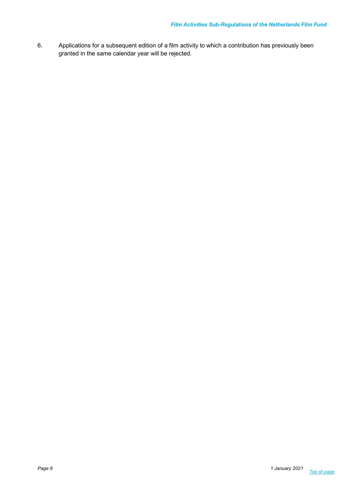6. Applications for a subsequent edition of a film activity to which a contribution has previously been granted in the same calendar year will be rejected.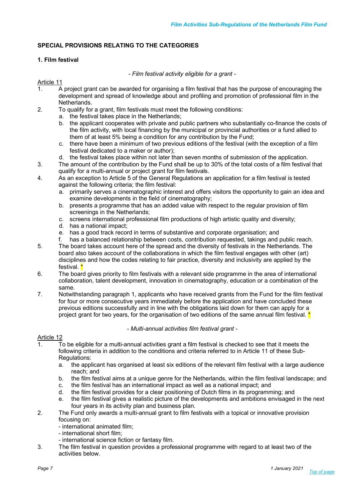# **SPECIAL PROVISIONS RELATING TO THE CATEGORIES**

# **1. Film festival**

*- Film festival activity eligible for a grant -*

Article 11

- 1. A project grant can be awarded for organising a film festival that has the purpose of encouraging the development and spread of knowledge about and profiling and promotion of professional film in the **Netherlands**
- 2. To qualify for a grant, film festivals must meet the following conditions:
	- a. the festival takes place in the Netherlands;
	- b. the applicant cooperates with private and public partners who substantially co-finance the costs of the film activity, with local financing by the municipal or provincial authorities or a fund allied to them of at least 5% being a condition for any contribution by the Fund;
	- c. there have been a minimum of two previous editions of the festival (with the exception of a film festival dedicated to a maker or author);
	- d. the festival takes place within not later than seven months of submission of the application.
- 3. The amount of the contribution by the Fund shall be up to 30% of the total costs of a film festival that qualify for a multi-annual or project grant for film festivals.
- 4. As an exception to Article 5 of the General Regulations an application for a film festival is tested against the following criteria; the film festival:
	- a. primarily serves a cinematographic interest and offers visitors the opportunity to gain an idea and examine developments in the field of cinematography;
	- b. presents a programme that has an added value with respect to the regular provision of film screenings in the Netherlands;
	- c. screens international professional film productions of high artistic quality and diversity;
	- d. has a national impact;
	- e. has a good track record in terms of substantive and corporate organisation; and
	- f. has a balanced relationship between costs, contribution requested, takings and public reach.
- 5. The board takes account here of the spread and the diversity of festivals in the Netherlands. The board also takes account of the collaborations in which the film festival engages with other (art) disciplines and how the codes relating to fair practice, diversity and inclusivity are applied by the festival. **'**
- 6. The board gives priority to film festivals with a relevant side programme in the area of international collaboration, talent development, innovation in cinematography, education or a combination of the same.
- 7. Notwithstanding paragraph 1, applicants who have received grants from the Fund for the film festival for four or more consecutive years immediately before the application and have concluded these previous editions successfully and in line with the obligations laid down for them can apply for a project grant for two years, for the organisation of two editions of the same annual film festival. \*

# *- Multi-annual activities film festival grant -*

- 1. To be eligible for a multi-annual activities grant a film festival is checked to see that it meets the following criteria in addition to the conditions and criteria referred to in Article 11 of these Sub-Regulations:
	- a. the applicant has organised at least six editions of the relevant film festival with a large audience reach; and
	- b. the film festival aims at a unique genre for the Netherlands, within the film festival landscape; and
	- c. the film festival has an international impact as well as a national impact; and
	- d. the film festival provides for a clear positioning of Dutch films in its programming; and
	- e. the film festival gives a realistic picture of the developments and ambitions envisaged in the next four years in its activity plan and business plan.
- 2. The Fund only awards a multi-annual grant to film festivals with a topical or innovative provision focusing on:
	- international animated film;
	- international short film;
	- international science fiction or fantasy film.
- 3. The film festival in question provides a professional programme with regard to at least two of the activities below.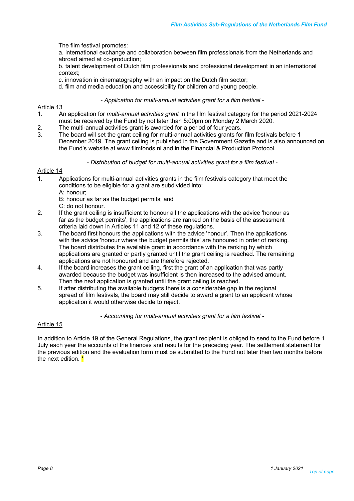The film festival promotes:

a. international exchange and collaboration between film professionals from the Netherlands and abroad aimed at co-production;

b. talent development of Dutch film professionals and professional development in an international context;

- c. innovation in cinematography with an impact on the Dutch film sector;
- d. film and media education and accessibility for children and young people.

*- Application for multi-annual activities grant for a film festival -*

#### Article 13

- 1. An application for *multi-annual activities grant* in the film festival category for the period 2021-2024 must be received by the Fund by not later than 5:00pm on Monday 2 March 2020.
- 2. The multi-annual activities grant is awarded for a period of four years.
- 3. The board will set the grant ceiling for multi-annual activities grants for film festivals before 1 December 2019. The grant ceiling is published in the Government Gazette and is also announced on the Fund's website at www.filmfonds.nl and in the Financial & Production Protocol.

#### *- Distribution of budget for multi-annual activities grant for a film festival -*

#### Article 14

- 1. Applications for multi-annual activities grants in the film festivals category that meet the conditions to be eligible for a grant are subdivided into:
	- A: honour;
	- B: honour as far as the budget permits; and
	- C: do not honour.
- 2. If the grant ceiling is insufficient to honour all the applications with the advice 'honour as far as the budget permits', the applications are ranked on the basis of the assessment criteria laid down in Articles 11 and 12 of these regulations.
- 3. The board first honours the applications with the advice 'honour'. Then the applications with the advice 'honour where the budget permits this' are honoured in order of ranking. The board distributes the available grant in accordance with the ranking by which applications are granted or partly granted until the grant ceiling is reached. The remaining applications are not honoured and are therefore rejected.
- 4. If the board increases the grant ceiling, first the grant of an application that was partly awarded because the budget was insufficient is then increased to the advised amount. Then the next application is granted until the grant ceiling is reached.
- 5. If after distributing the available budgets there is a considerable gap in the regional spread of film festivals, the board may still decide to award a grant to an applicant whose application it would otherwise decide to reject.

*- Accounting for multi-annual activities grant for a film festival -*

# Article 15

In addition to Article 19 of the General Regulations, the grant recipient is obliged to send to the Fund before 1 July each year the accounts of the finances and results for the preceding year. The settlement statement for the previous edition and the evaluation form must be submitted to the Fund not later than two months before the next edition. \*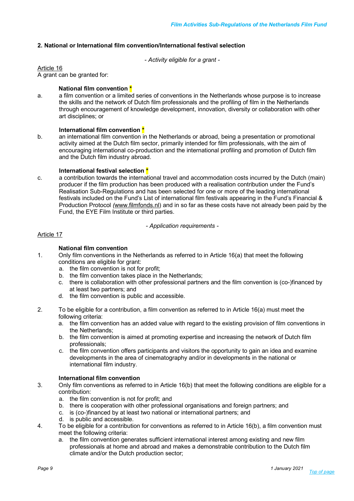# **2. National or International film convention/International festival selection**

*- Activity eligible for a grant -*

Article 16

A grant can be granted for:

# **National film convention \***

a. a film convention or a limited series of conventions in the Netherlands whose purpose is to increase the skills and the network of Dutch film professionals and the profiling of film in the Netherlands through encouragement of knowledge development, innovation, diversity or collaboration with other art disciplines; or

# **International film convention \***

b. an international film convention in the Netherlands or abroad, being a presentation or promotional activity aimed at the Dutch film sector, primarily intended for film professionals, with the aim of encouraging international co-production and the international profiling and promotion of Dutch film and the Dutch film industry abroad.

# **International festival selection \***

c. a contribution towards the international travel and accommodation costs incurred by the Dutch (main) producer if the film production has been produced with a realisation contribution under the Fund's Realisation Sub-Regulations and has been selected for one or more of the leading international festivals included on the Fund's List of international film festivals appearing in the Fund's Financial & Production Protocol *(*www.filmfonds.nl) and in so far as these costs have not already been paid by the Fund, the EYE Film Institute or third parties.

*- Application requirements -*

# Article 17

# **National film convention**

- 1. Only film conventions in the Netherlands as referred to in Article 16(a) that meet the following conditions are eligible for grant:
	- a. the film convention is not for profit;
	- b. the film convention takes place in the Netherlands;
	- c. there is collaboration with other professional partners and the film convention is (co-)financed by at least two partners; and
	- d. the film convention is public and accessible.
- 2. To be eligible for a contribution, a film convention as referred to in Article 16(a) must meet the following criteria:
	- a. the film convention has an added value with regard to the existing provision of film conventions in the Netherlands;
	- b. the film convention is aimed at promoting expertise and increasing the network of Dutch film professionals;
	- c. the film convention offers participants and visitors the opportunity to gain an idea and examine developments in the area of cinematography and/or in developments in the national or international film industry.

# **International film convention**

- 3. Only film conventions as referred to in Article 16(b) that meet the following conditions are eligible for a contribution:
	- a. the film convention is not for profit; and
	- b. there is cooperation with other professional organisations and foreign partners; and
	- c. is (co-)financed by at least two national or international partners; and
	- d. is public and accessible.
- 4. To be eligible for a contribution for conventions as referred to in Article 16(b), a film convention must meet the following criteria:
	- a. the film convention generates sufficient international interest among existing and new film professionals at home and abroad and makes a demonstrable contribution to the Dutch film climate and/or the Dutch production sector;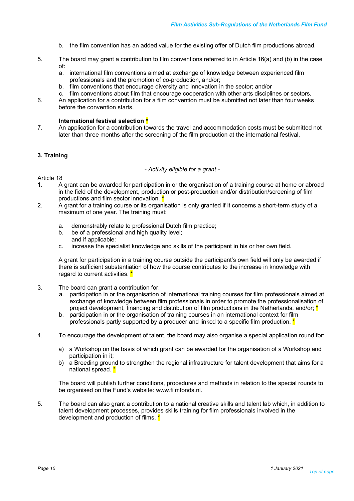- b. the film convention has an added value for the existing offer of Dutch film productions abroad.
- 5. The board may grant a contribution to film conventions referred to in Article 16(a) and (b) in the case of:
	- a. international film conventions aimed at exchange of knowledge between experienced film professionals and the promotion of co-production, and/or;
	- b. film conventions that encourage diversity and innovation in the sector; and/or
- c. film conventions about film that encourage cooperation with other arts disciplines or sectors.
- 6. An application for a contribution for a film convention must be submitted not later than four weeks before the convention starts.

#### **International festival selection \***

7. An application for a contribution towards the travel and accommodation costs must be submitted not later than three months after the screening of the film production at the international festival.

#### **3. Training**

*- Activity eligible for a grant -*

#### Article 18

- 1. A grant can be awarded for participation in or the organisation of a training course at home or abroad in the field of the development, production or post-production and/or distribution/screening of film productions and film sector innovation. \*
- 2. A grant for a training course or its organisation is only granted if it concerns a short-term study of a maximum of one year. The training must:
	- a. demonstrably relate to professional Dutch film practice;
	- b. be of a professional and high quality level; and if applicable:
	- c. increase the specialist knowledge and skills of the participant in his or her own field.

A grant for participation in a training course outside the participant's own field will only be awarded if there is sufficient substantiation of how the course contributes to the increase in knowledge with regard to current activities. \*

- 3. The board can grant a contribution for:
	- a. participation in or the organisation of international training courses for film professionals aimed at exchange of knowledge between film professionals in order to promote the professionalisation of project development, financing and distribution of film productions in the Netherlands, and/or;  $*$
	- b. participation in or the organisation of training courses in an international context for film professionals partly supported by a producer and linked to a specific film production.  $*$
- 4. To encourage the development of talent, the board may also organise a special application round for:
	- a) a Workshop on the basis of which grant can be awarded for the organisation of a Workshop and participation in it;
	- b) a Breeding ground to strengthen the regional infrastructure for talent development that aims for a national spread. \*

The board will publish further conditions, procedures and methods in relation to the special rounds to be organised on the Fund's website: www.filmfonds.nl.

5. The board can also grant a contribution to a national creative skills and talent lab which, in addition to talent development processes, provides skills training for film professionals involved in the development and production of films. \*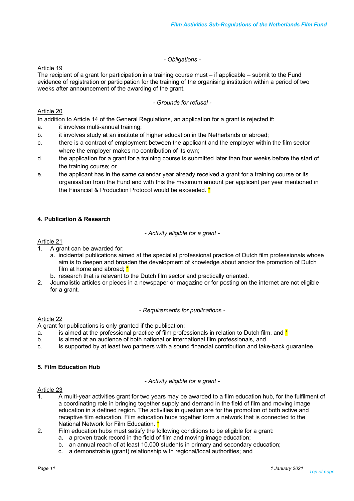# *- Obligations -*

Article 19

The recipient of a grant for participation in a training course must – if applicable – submit to the Fund evidence of registration or participation for the training of the organising institution within a period of two weeks after announcement of the awarding of the grant.

*- Grounds for refusal -*

# Article 20

In addition to Article 14 of the General Regulations, an application for a grant is rejected if:

- a. it involves multi-annual training;
- b. it involves study at an institute of higher education in the Netherlands or abroad;
- c. there is a contract of employment between the applicant and the employer within the film sector where the employer makes no contribution of its own;
- d. the application for a grant for a training course is submitted later than four weeks before the start of the training course; or
- e. the applicant has in the same calendar year already received a grant for a training course or its organisation from the Fund and with this the maximum amount per applicant per year mentioned in the Financial & Production Protocol would be exceeded. \*

# **4. Publication & Research**

*- Activity eligible for a grant -*

# Article 21

- 1. A grant can be awarded for:
	- a. incidental publications aimed at the specialist professional practice of Dutch film professionals whose aim is to deepen and broaden the development of knowledge about and/or the promotion of Dutch film at home and abroad: \*
	- b. research that is relevant to the Dutch film sector and practically oriented.
- 2. Journalistic articles or pieces in a newspaper or magazine or for posting on the internet are not eligible for a grant.

*- Requirements for publications -*

# Article 22

A grant for publications is only granted if the publication:

- a. is aimed at the professional practice of film professionals in relation to Dutch film, and  $*$
- b. is aimed at an audience of both national or international film professionals, and
- c. is supported by at least two partners with a sound financial contribution and take-back guarantee.

# **5. Film Education Hub**

*- Activity eligible for a grant -*

- 1. A multi-year activities grant for two years may be awarded to a film education hub, for the fulfilment of a coordinating role in bringing together supply and demand in the field of film and moving image education in a defined region. The activities in question are for the promotion of both active and receptive film education. Film education hubs together form a network that is connected to the National Network for Film Education.
- 2. Film education hubs must satisfy the following conditions to be eligible for a grant:
	- a. a proven track record in the field of film and moving image education;
	- b. an annual reach of at least 10,000 students in primary and secondary education;
	- c. a demonstrable (grant) relationship with regional/local authorities; and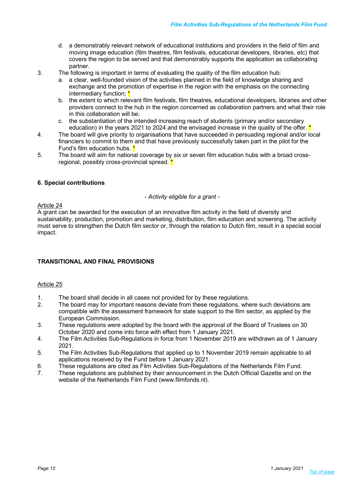- d. a demonstrably relevant network of educational institutions and providers in the field of film and moving image education (film theatres, film festivals, educational developers, libraries, etc) that covers the region to be served and that demonstrably supports the application as collaborating partner.
- 3. The following is important in terms of evaluating the quality of the film education hub:
	- a. a clear, well-founded vision of the activities planned in the field of knowledge sharing and exchange and the promotion of expertise in the region with the emphasis on the connecting intermediary function; \*
	- b. the extent to which relevant film festivals, film theatres, educational developers, libraries and other providers connect to the hub in the region concerned as collaboration partners and what their role in this collaboration will be;
	- c. the substantiation of the intended increasing reach of students (primary and/or secondary education) in the years 2021 to 2024 and the envisaged increase in the quality of the offer.  $^*$
- 4. The board will give priority to organisations that have succeeded in persuading regional and/or local financiers to commit to them and that have previously successfully taken part in the pilot for the Fund's film education hubs. **'**
- 5. The board will aim for national coverage by six or seven film education hubs with a broad crossregional, possibly cross-provincial spread. \*

# **6. Special contributions**

*- Activity eligible for a grant -*

# Article 24

A grant can be awarded for the execution of an innovative film activity in the field of diversity and sustainability, production, promotion and marketing, distribution, film education and screening. The activity must serve to strengthen the Dutch film sector or, through the relation to Dutch film, result in a special social impact.

# **TRANSITIONAL AND FINAL PROVISIONS**

- 1. The board shall decide in all cases not provided for by these regulations.
- 2. The board may for important reasons deviate from these regulations, where such deviations are compatible with the assessment framework for state support to the film sector, as applied by the European Commission.
- 3. These regulations were adopted by the board with the approval of the Board of Trustees on 30 October 2020 and come into force with effect from 1 January 2021.
- 4. The Film Activities Sub-Regulations in force from 1 November 2019 are withdrawn as of 1 January 2021.
- 5. The Film Activities Sub-Regulations that applied up to 1 November 2019 remain applicable to all applications received by the Fund before 1 January 2021.
- 6. These regulations are cited as Film Activities Sub-Regulations of the Netherlands Film Fund.
- 7. These regulations are published by their announcement in the Dutch Official Gazette and on the website of the Netherlands Film Fund (www.filmfonds.nl).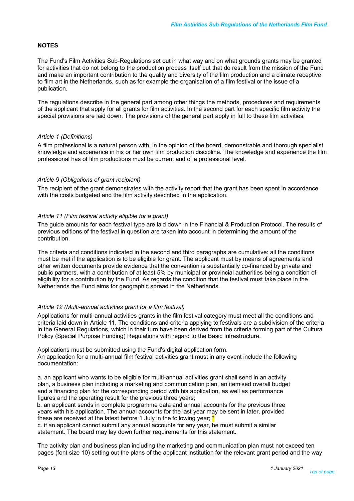# **NOTES**

The Fund's Film Activities Sub-Regulations set out in what way and on what grounds grants may be granted for activities that do not belong to the production process itself but that do result from the mission of the Fund and make an important contribution to the quality and diversity of the film production and a climate receptive to film art in the Netherlands, such as for example the organisation of a film festival or the issue of a publication.

The regulations describe in the general part among other things the methods, procedures and requirements of the applicant that apply for all grants for film activities. In the second part for each specific film activity the special provisions are laid down. The provisions of the general part apply in full to these film activities.

# *Article 1 (Definitions)*

A film professional is a natural person with, in the opinion of the board, demonstrable and thorough specialist knowledge and experience in his or her own film production discipline. The knowledge and experience the film professional has of film productions must be current and of a professional level.

#### *Article 9 (Obligations of grant recipient)*

The recipient of the grant demonstrates with the activity report that the grant has been spent in accordance with the costs budgeted and the film activity described in the application.

#### *Article 11 (Film festival activity eligible for a grant)*

The guide amounts for each festival type are laid down in the Financial & Production Protocol. The results of previous editions of the festival in question are taken into account in determining the amount of the contribution.

The criteria and conditions indicated in the second and third paragraphs are cumulative: all the conditions must be met if the application is to be eligible for grant. The applicant must by means of agreements and other written documents provide evidence that the convention is substantially co-financed by private and public partners, with a contribution of at least 5% by municipal or provincial authorities being a condition of eligibility for a contribution by the Fund. As regards the condition that the festival must take place in the Netherlands the Fund aims for geographic spread in the Netherlands.

# *Article 12 (Multi-annual activities grant for a film festival)*

Applications for multi-annual activities grants in the film festival category must meet all the conditions and criteria laid down in Article 11. The conditions and criteria applying to festivals are a subdivision of the criteria in the General Regulations, which in their turn have been derived from the criteria forming part of the Cultural Policy (Special Purpose Funding) Regulations with regard to the Basic Infrastructure.

Applications must be submitted using the Fund's digital application form. An application for a multi-annual film festival activities grant must in any event include the following documentation:

a. an applicant who wants to be eligible for multi-annual activities grant shall send in an activity plan, a business plan including a marketing and communication plan, an itemised overall budget and a financing plan for the corresponding period with his application, as well as performance figures and the operating result for the previous three years;

b. an applicant sends in complete programme data and annual accounts for the previous three years with his application. The annual accounts for the last year may be sent in later, provided these are received at the latest before 1 July in the following year;  $^{\prime}$ 

c. if an applicant cannot submit any annual accounts for any year, he must submit a similar statement. The board may lay down further requirements for this statement.

The activity plan and business plan including the marketing and communication plan must not exceed ten pages (font size 10) setting out the plans of the applicant institution for the relevant grant period and the way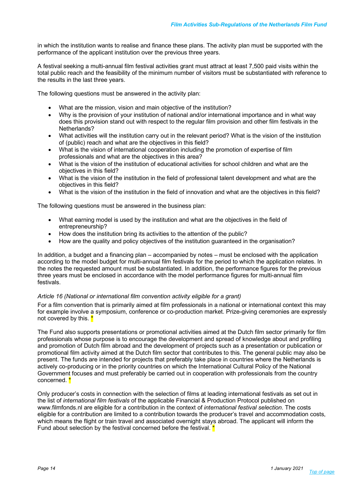in which the institution wants to realise and finance these plans. The activity plan must be supported with the performance of the applicant institution over the previous three years.

A festival seeking a multi-annual film festival activities grant must attract at least 7,500 paid visits within the total public reach and the feasibility of the minimum number of visitors must be substantiated with reference to the results in the last three years.

The following questions must be answered in the activity plan:

- What are the mission, vision and main objective of the institution?
- Why is the provision of your institution of national and/or international importance and in what way does this provision stand out with respect to the regular film provision and other film festivals in the Netherlands?
- What activities will the institution carry out in the relevant period? What is the vision of the institution of (public) reach and what are the objectives in this field?
- What is the vision of international cooperation including the promotion of expertise of film professionals and what are the objectives in this area?
- What is the vision of the institution of educational activities for school children and what are the objectives in this field?
- What is the vision of the institution in the field of professional talent development and what are the objectives in this field?
- What is the vision of the institution in the field of innovation and what are the objectives in this field?

The following questions must be answered in the business plan:

- What earning model is used by the institution and what are the objectives in the field of entrepreneurship?
- How does the institution bring its activities to the attention of the public?
- How are the quality and policy objectives of the institution guaranteed in the organisation?

In addition, a budget and a financing plan – accompanied by notes – must be enclosed with the application according to the model budget for multi-annual film festivals for the period to which the application relates. In the notes the requested amount must be substantiated. In addition, the performance figures for the previous three years must be enclosed in accordance with the model performance figures for multi-annual film festivals.

# *Article 16 (National or international film convention activity eligible for a grant)*

For a film convention that is primarily aimed at film professionals in a national or international context this may for example involve a symposium, conference or co-production market. Prize-giving ceremonies are expressly not covered by this. \*

The Fund also supports presentations or promotional activities aimed at the Dutch film sector primarily for film professionals whose purpose is to encourage the development and spread of knowledge about and profiling and promotion of Dutch film abroad and the development of projects such as a presentation or publication or promotional film activity aimed at the Dutch film sector that contributes to this. The general public may also be present. The funds are intended for projects that preferably take place in countries where the Netherlands is actively co-producing or in the priority countries on which the International Cultural Policy of the National Government focuses and must preferably be carried out in cooperation with professionals from the country concerned.<sup>\*</sup>

Only producer's costs in connection with the selection of films at leading international festivals as set out in the list of *international film festivals* of the applicable Financial & Production Protocol published on www.filmfonds.nl are eligible for a contribution in the context of *international festival selection*. The costs eligible for a contribution are limited to a contribution towards the producer's travel and accommodation costs, which means the flight or train travel and associated overnight stays abroad. The applicant will inform the Fund about selection by the festival concerned before the festival.  $*$